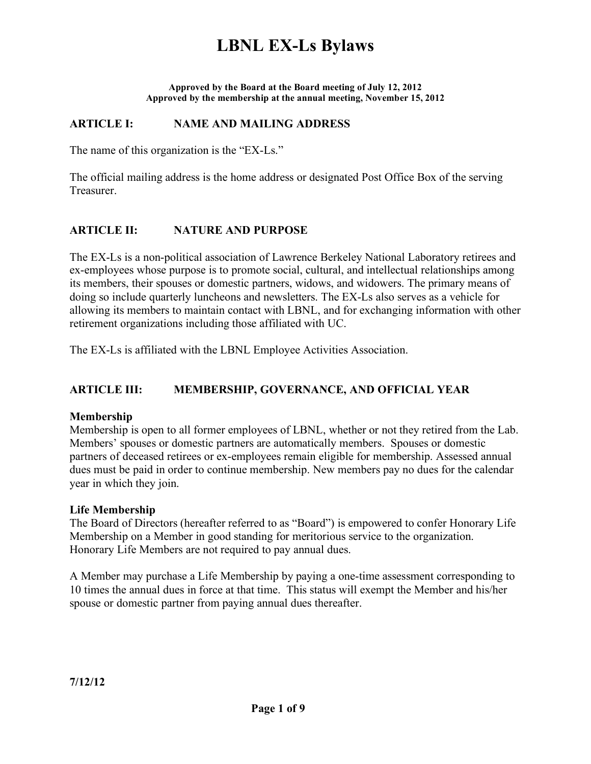# **LBNL EX-Ls Bylaws**

**Approved by the Board at the Board meeting of July 12, 2012 Approved by the membership at the annual meeting, November 15, 2012**

### **ARTICLE I: NAME AND MAILING ADDRESS**

The name of this organization is the "EX-Ls."

The official mailing address is the home address or designated Post Office Box of the serving Treasurer.

### **ARTICLE II: NATURE AND PURPOSE**

The EX-Ls is a non-political association of Lawrence Berkeley National Laboratory retirees and ex-employees whose purpose is to promote social, cultural, and intellectual relationships among its members, their spouses or domestic partners, widows, and widowers. The primary means of doing so include quarterly luncheons and newsletters. The EX-Ls also serves as a vehicle for allowing its members to maintain contact with LBNL, and for exchanging information with other retirement organizations including those affiliated with UC.

The EX-Ls is affiliated with the LBNL Employee Activities Association.

### **ARTICLE III: MEMBERSHIP, GOVERNANCE, AND OFFICIAL YEAR**

### **Membership**

Membership is open to all former employees of LBNL, whether or not they retired from the Lab. Members' spouses or domestic partners are automatically members. Spouses or domestic partners of deceased retirees or ex-employees remain eligible for membership. Assessed annual dues must be paid in order to continue membership. New members pay no dues for the calendar year in which they join.

#### **Life Membership**

The Board of Directors (hereafter referred to as "Board") is empowered to confer Honorary Life Membership on a Member in good standing for meritorious service to the organization. Honorary Life Members are not required to pay annual dues.

A Member may purchase a Life Membership by paying a one-time assessment corresponding to 10 times the annual dues in force at that time. This status will exempt the Member and his/her spouse or domestic partner from paying annual dues thereafter.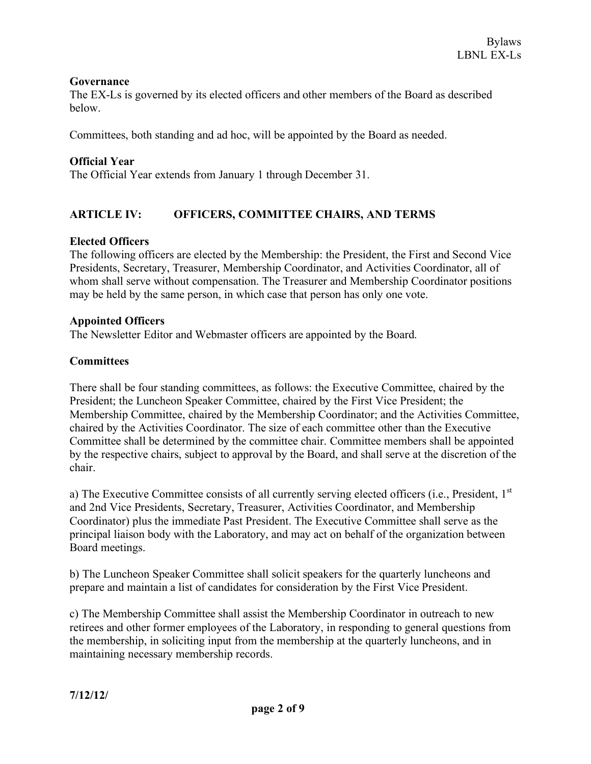#### **Governance**

The EX-Ls is governed by its elected officers and other members of the Board as described below.

Committees, both standing and ad hoc, will be appointed by the Board as needed.

### **Official Year**

The Official Year extends from January 1 through December 31.

## **ARTICLE IV: OFFICERS, COMMITTEE CHAIRS, AND TERMS**

### **Elected Officers**

The following officers are elected by the Membership: the President, the First and Second Vice Presidents, Secretary, Treasurer, Membership Coordinator, and Activities Coordinator, all of whom shall serve without compensation. The Treasurer and Membership Coordinator positions may be held by the same person, in which case that person has only one vote.

#### **Appointed Officers**

The Newsletter Editor and Webmaster officers are appointed by the Board.

### **Committees**

There shall be four standing committees, as follows: the Executive Committee, chaired by the President; the Luncheon Speaker Committee, chaired by the First Vice President; the Membership Committee, chaired by the Membership Coordinator; and the Activities Committee, chaired by the Activities Coordinator. The size of each committee other than the Executive Committee shall be determined by the committee chair. Committee members shall be appointed by the respective chairs, subject to approval by the Board, and shall serve at the discretion of the chair.

a) The Executive Committee consists of all currently serving elected officers (i.e., President, 1<sup>st</sup> and 2nd Vice Presidents, Secretary, Treasurer, Activities Coordinator, and Membership Coordinator) plus the immediate Past President. The Executive Committee shall serve as the principal liaison body with the Laboratory, and may act on behalf of the organization between Board meetings.

b) The Luncheon Speaker Committee shall solicit speakers for the quarterly luncheons and prepare and maintain a list of candidates for consideration by the First Vice President.

c) The Membership Committee shall assist the Membership Coordinator in outreach to new retirees and other former employees of the Laboratory, in responding to general questions from the membership, in soliciting input from the membership at the quarterly luncheons, and in maintaining necessary membership records.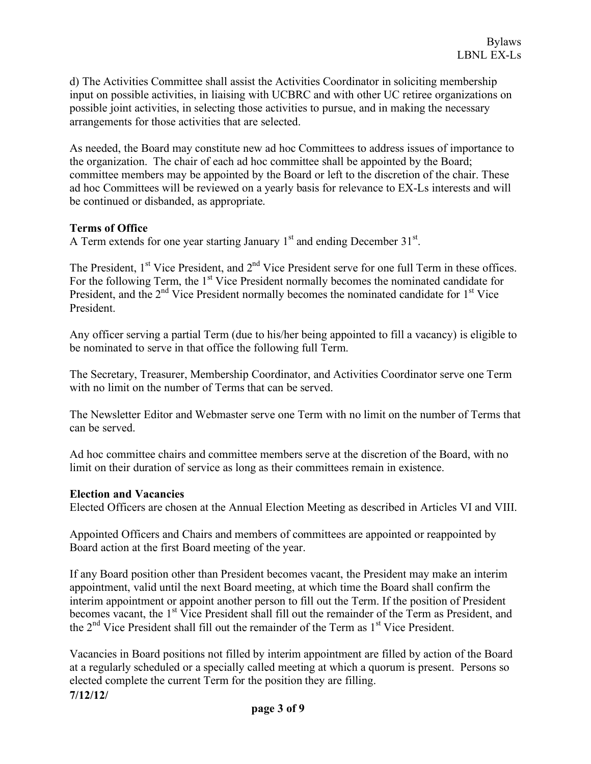d) The Activities Committee shall assist the Activities Coordinator in soliciting membership input on possible activities, in liaising with UCBRC and with other UC retiree organizations on possible joint activities, in selecting those activities to pursue, and in making the necessary arrangements for those activities that are selected.

As needed, the Board may constitute new ad hoc Committees to address issues of importance to the organization. The chair of each ad hoc committee shall be appointed by the Board; committee members may be appointed by the Board or left to the discretion of the chair. These ad hoc Committees will be reviewed on a yearly basis for relevance to EX-Ls interests and will be continued or disbanded, as appropriate.

#### **Terms of Office**

A Term extends for one year starting January  $1<sup>st</sup>$  and ending December 31 $<sup>st</sup>$ .</sup>

The President,  $1<sup>st</sup>$  Vice President, and  $2<sup>nd</sup>$  Vice President serve for one full Term in these offices. For the following Term, the 1<sup>st</sup> Vice President normally becomes the nominated candidate for President, and the  $2<sup>nd</sup>$  Vice President normally becomes the nominated candidate for  $1<sup>st</sup>$  Vice President.

Any officer serving a partial Term (due to his/her being appointed to fill a vacancy) is eligible to be nominated to serve in that office the following full Term.

The Secretary, Treasurer, Membership Coordinator, and Activities Coordinator serve one Term with no limit on the number of Terms that can be served.

The Newsletter Editor and Webmaster serve one Term with no limit on the number of Terms that can be served.

Ad hoc committee chairs and committee members serve at the discretion of the Board, with no limit on their duration of service as long as their committees remain in existence.

#### **Election and Vacancies**

Elected Officers are chosen at the Annual Election Meeting as described in Articles VI and VIII.

Appointed Officers and Chairs and members of committees are appointed or reappointed by Board action at the first Board meeting of the year.

If any Board position other than President becomes vacant, the President may make an interim appointment, valid until the next Board meeting, at which time the Board shall confirm the interim appointment or appoint another person to fill out the Term. If the position of President becomes vacant, the 1<sup>st</sup> Vice President shall fill out the remainder of the Term as President, and the  $2<sup>nd</sup>$  Vice President shall fill out the remainder of the Term as  $1<sup>st</sup>$  Vice President.

**7/12/12/** Vacancies in Board positions not filled by interim appointment are filled by action of the Board at a regularly scheduled or a specially called meeting at which a quorum is present. Persons so elected complete the current Term for the position they are filling.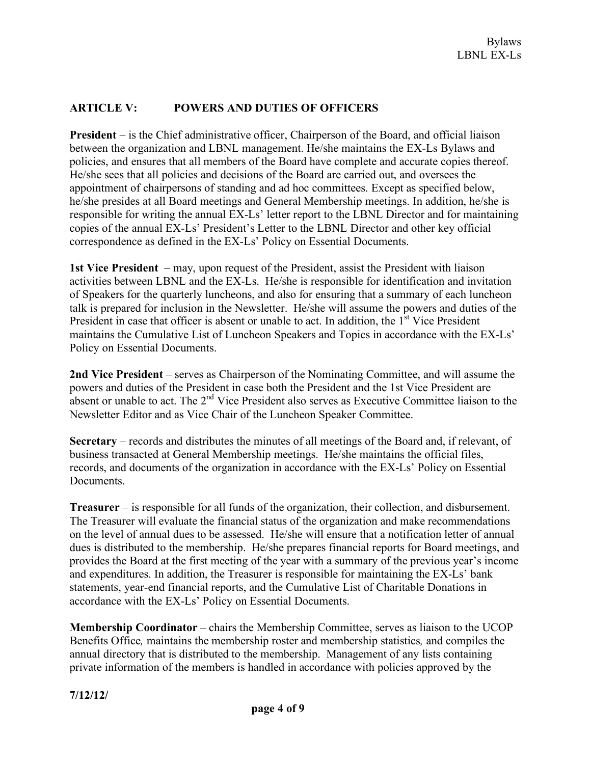### **ARTICLE V: POWERS AND DUTIES OF OFFICERS**

**President** – is the Chief administrative officer, Chairperson of the Board, and official liaison between the organization and LBNL management. He/she maintains the EX-Ls Bylaws and policies, and ensures that all members of the Board have complete and accurate copies thereof. He/she sees that all policies and decisions of the Board are carried out, and oversees the appointment of chairpersons of standing and ad hoc committees. Except as specified below, he/she presides at all Board meetings and General Membership meetings. In addition, he/she is responsible for writing the annual EX-Ls' letter report to the LBNL Director and for maintaining copies of the annual EX-Ls' President's Letter to the LBNL Director and other key official correspondence as defined in the EX-Ls' Policy on Essential Documents.

**1st Vice President** – may, upon request of the President, assist the President with liaison activities between LBNL and the EX-Ls. He/she is responsible for identification and invitation of Speakers for the quarterly luncheons, and also for ensuring that a summary of each luncheon talk is prepared for inclusion in the Newsletter. He/she will assume the powers and duties of the President in case that officer is absent or unable to act. In addition, the 1<sup>st</sup> Vice President maintains the Cumulative List of Luncheon Speakers and Topics in accordance with the EX-Ls' Policy on Essential Documents.

**2nd Vice President** – serves as Chairperson of the Nominating Committee, and will assume the powers and duties of the President in case both the President and the 1st Vice President are absent or unable to act. The  $2<sup>nd</sup>$  Vice President also serves as Executive Committee liaison to the Newsletter Editor and as Vice Chair of the Luncheon Speaker Committee.

**Secretary** – records and distributes the minutes of all meetings of the Board and, if relevant, of business transacted at General Membership meetings. He/she maintains the official files, records, and documents of the organization in accordance with the EX-Ls' Policy on Essential **Documents** 

**Treasurer** – is responsible for all funds of the organization, their collection, and disbursement. The Treasurer will evaluate the financial status of the organization and make recommendations on the level of annual dues to be assessed. He/she will ensure that a notification letter of annual dues is distributed to the membership. He/she prepares financial reports for Board meetings, and provides the Board at the first meeting of the year with a summary of the previous year's income and expenditures. In addition, the Treasurer is responsible for maintaining the EX-Ls' bank statements, year-end financial reports, and the Cumulative List of Charitable Donations in accordance with the EX-Ls' Policy on Essential Documents.

**Membership Coordinator** – chairs the Membership Committee, serves as liaison to the UCOP Benefits Office*,* maintains the membership roster and membership statistics*,* and compiles the annual directory that is distributed to the membership. Management of any lists containing private information of the members is handled in accordance with policies approved by the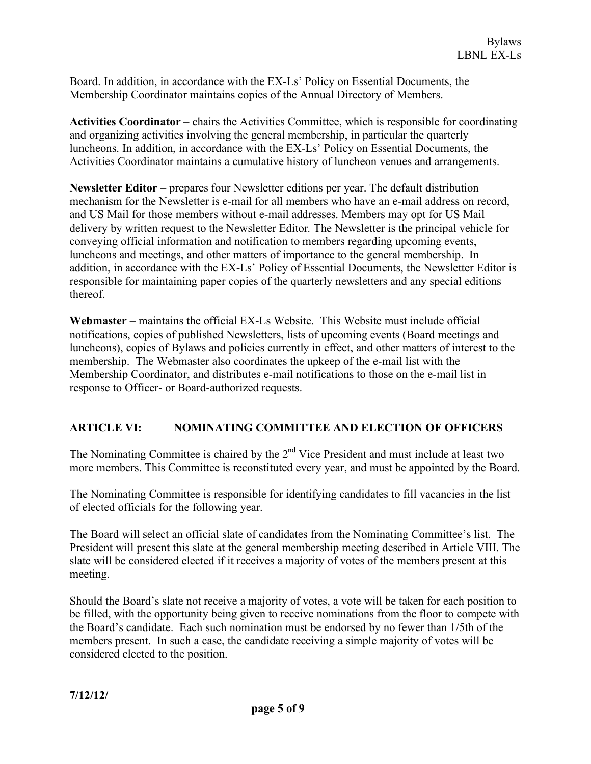Board. In addition, in accordance with the EX-Ls' Policy on Essential Documents, the Membership Coordinator maintains copies of the Annual Directory of Members.

**Activities Coordinator** – chairs the Activities Committee, which is responsible for coordinating and organizing activities involving the general membership, in particular the quarterly luncheons. In addition, in accordance with the EX-Ls' Policy on Essential Documents, the Activities Coordinator maintains a cumulative history of luncheon venues and arrangements.

**Newsletter Editor** – prepares four Newsletter editions per year. The default distribution mechanism for the Newsletter is e-mail for all members who have an e-mail address on record, and US Mail for those members without e-mail addresses. Members may opt for US Mail delivery by written request to the Newsletter Editor*.* The Newsletter is the principal vehicle for conveying official information and notification to members regarding upcoming events, luncheons and meetings, and other matters of importance to the general membership. In addition, in accordance with the EX-Ls' Policy of Essential Documents, the Newsletter Editor is responsible for maintaining paper copies of the quarterly newsletters and any special editions thereof.

**Webmaster** – maintains the official EX-Ls Website. This Website must include official notifications, copies of published Newsletters, lists of upcoming events (Board meetings and luncheons), copies of Bylaws and policies currently in effect, and other matters of interest to the membership. The Webmaster also coordinates the upkeep of the e-mail list with the Membership Coordinator, and distributes e-mail notifications to those on the e-mail list in response to Officer- or Board-authorized requests.

## **ARTICLE VI: NOMINATING COMMITTEE AND ELECTION OF OFFICERS**

The Nominating Committee is chaired by the 2<sup>nd</sup> Vice President and must include at least two more members. This Committee is reconstituted every year, and must be appointed by the Board.

The Nominating Committee is responsible for identifying candidates to fill vacancies in the list of elected officials for the following year.

The Board will select an official slate of candidates from the Nominating Committee's list. The President will present this slate at the general membership meeting described in Article VIII. The slate will be considered elected if it receives a majority of votes of the members present at this meeting.

Should the Board's slate not receive a majority of votes, a vote will be taken for each position to be filled, with the opportunity being given to receive nominations from the floor to compete with the Board's candidate. Each such nomination must be endorsed by no fewer than 1/5th of the members present. In such a case, the candidate receiving a simple majority of votes will be considered elected to the position.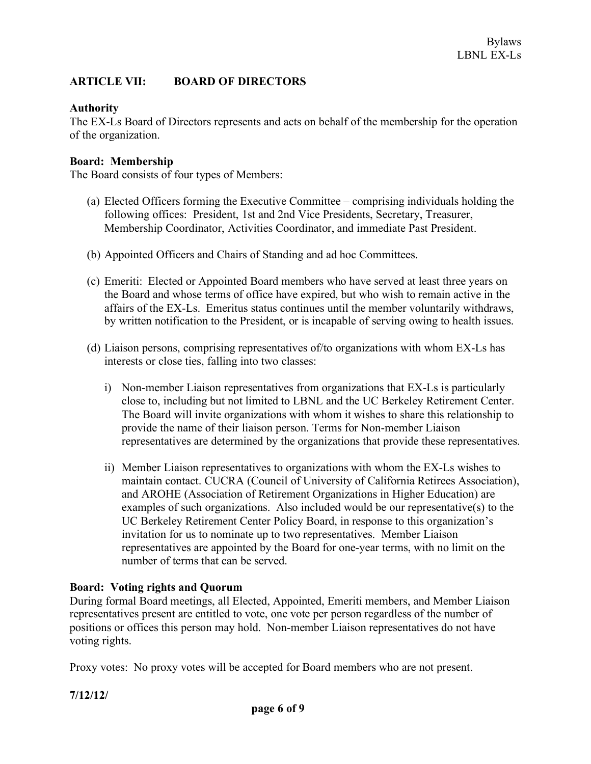### **ARTICLE VII: BOARD OF DIRECTORS**

### **Authority**

The EX-Ls Board of Directors represents and acts on behalf of the membership for the operation of the organization.

#### **Board: Membership**

The Board consists of four types of Members:

- (a) Elected Officers forming the Executive Committee comprising individuals holding the following offices: President, 1st and 2nd Vice Presidents, Secretary, Treasurer, Membership Coordinator, Activities Coordinator, and immediate Past President.
- (b) Appointed Officers and Chairs of Standing and ad hoc Committees.
- (c) Emeriti: Elected or Appointed Board members who have served at least three years on the Board and whose terms of office have expired, but who wish to remain active in the affairs of the EX-Ls. Emeritus status continues until the member voluntarily withdraws, by written notification to the President, or is incapable of serving owing to health issues.
- (d) Liaison persons, comprising representatives of/to organizations with whom EX-Ls has interests or close ties, falling into two classes:
	- i) Non-member Liaison representatives from organizations that EX-Ls is particularly close to, including but not limited to LBNL and the UC Berkeley Retirement Center. The Board will invite organizations with whom it wishes to share this relationship to provide the name of their liaison person. Terms for Non-member Liaison representatives are determined by the organizations that provide these representatives.
	- ii) Member Liaison representatives to organizations with whom the EX-Ls wishes to maintain contact. CUCRA (Council of University of California Retirees Association), and AROHE (Association of Retirement Organizations in Higher Education) are examples of such organizations. Also included would be our representative(s) to the UC Berkeley Retirement Center Policy Board, in response to this organization's invitation for us to nominate up to two representatives. Member Liaison representatives are appointed by the Board for one-year terms, with no limit on the number of terms that can be served.

#### **Board: Voting rights and Quorum**

During formal Board meetings, all Elected, Appointed, Emeriti members, and Member Liaison representatives present are entitled to vote, one vote per person regardless of the number of positions or offices this person may hold. Non-member Liaison representatives do not have voting rights.

Proxy votes: No proxy votes will be accepted for Board members who are not present.

**7/12/12/**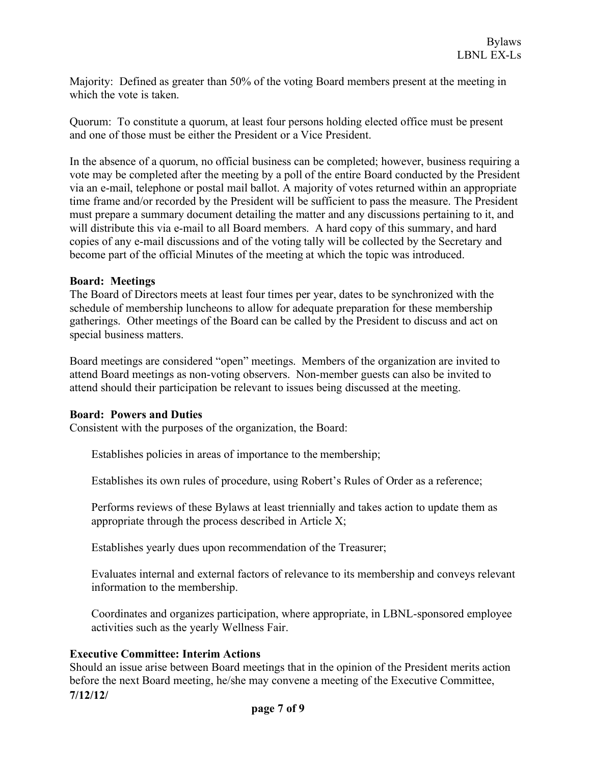Majority: Defined as greater than 50% of the voting Board members present at the meeting in which the vote is taken.

Quorum: To constitute a quorum, at least four persons holding elected office must be present and one of those must be either the President or a Vice President.

In the absence of a quorum, no official business can be completed; however, business requiring a vote may be completed after the meeting by a poll of the entire Board conducted by the President via an e-mail, telephone or postal mail ballot. A majority of votes returned within an appropriate time frame and/or recorded by the President will be sufficient to pass the measure. The President must prepare a summary document detailing the matter and any discussions pertaining to it, and will distribute this via e-mail to all Board members. A hard copy of this summary, and hard copies of any e-mail discussions and of the voting tally will be collected by the Secretary and become part of the official Minutes of the meeting at which the topic was introduced.

#### **Board: Meetings**

The Board of Directors meets at least four times per year, dates to be synchronized with the schedule of membership luncheons to allow for adequate preparation for these membership gatherings. Other meetings of the Board can be called by the President to discuss and act on special business matters.

Board meetings are considered "open" meetings. Members of the organization are invited to attend Board meetings as non-voting observers. Non-member guests can also be invited to attend should their participation be relevant to issues being discussed at the meeting.

### **Board: Powers and Duties**

Consistent with the purposes of the organization, the Board:

Establishes policies in areas of importance to the membership;

Establishes its own rules of procedure, using Robert's Rules of Order as a reference;

Performs reviews of these Bylaws at least triennially and takes action to update them as appropriate through the process described in Article X;

Establishes yearly dues upon recommendation of the Treasurer;

Evaluates internal and external factors of relevance to its membership and conveys relevant information to the membership.

Coordinates and organizes participation, where appropriate, in LBNL-sponsored employee activities such as the yearly Wellness Fair.

### **Executive Committee: Interim Actions**

**7/12/12/** Should an issue arise between Board meetings that in the opinion of the President merits action before the next Board meeting, he/she may convene a meeting of the Executive Committee,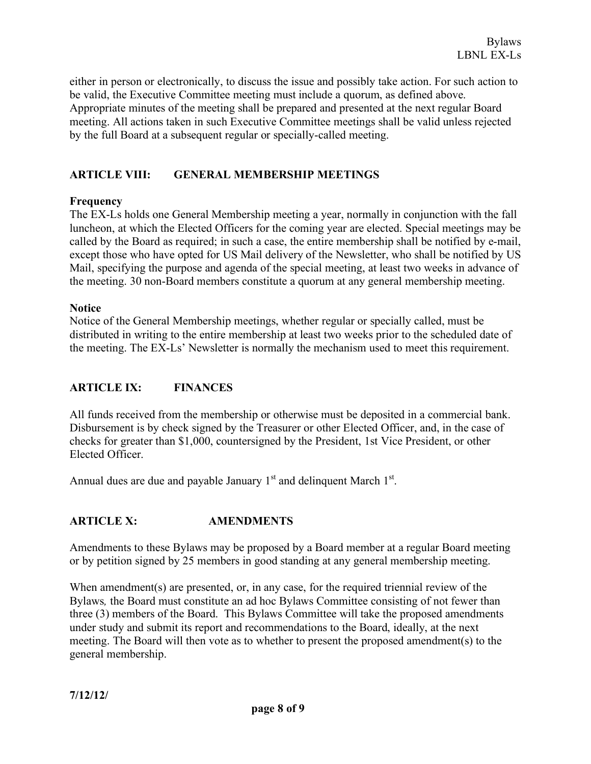either in person or electronically, to discuss the issue and possibly take action. For such action to be valid, the Executive Committee meeting must include a quorum, as defined above. Appropriate minutes of the meeting shall be prepared and presented at the next regular Board meeting. All actions taken in such Executive Committee meetings shall be valid unless rejected by the full Board at a subsequent regular or specially-called meeting.

### **ARTICLE VIII: GENERAL MEMBERSHIP MEETINGS**

### **Frequency**

The EX-Ls holds one General Membership meeting a year, normally in conjunction with the fall luncheon, at which the Elected Officers for the coming year are elected. Special meetings may be called by the Board as required; in such a case, the entire membership shall be notified by e-mail, except those who have opted for US Mail delivery of the Newsletter, who shall be notified by US Mail, specifying the purpose and agenda of the special meeting, at least two weeks in advance of the meeting. 30 non-Board members constitute a quorum at any general membership meeting.

### **Notice**

Notice of the General Membership meetings, whether regular or specially called, must be distributed in writing to the entire membership at least two weeks prior to the scheduled date of the meeting. The EX-Ls' Newsletter is normally the mechanism used to meet this requirement.

### **ARTICLE IX: FINANCES**

All funds received from the membership or otherwise must be deposited in a commercial bank. Disbursement is by check signed by the Treasurer or other Elected Officer, and, in the case of checks for greater than \$1,000, countersigned by the President, 1st Vice President, or other Elected Officer.

Annual dues are due and payable January  $1<sup>st</sup>$  and delinquent March  $1<sup>st</sup>$ .

### **ARTICLE X: AMENDMENTS**

Amendments to these Bylaws may be proposed by a Board member at a regular Board meeting or by petition signed by 25 members in good standing at any general membership meeting.

When amendment(s) are presented, or, in any case, for the required triennial review of the Bylaws*,* the Board must constitute an ad hoc Bylaws Committee consisting of not fewer than three (3) members of the Board. This Bylaws Committee will take the proposed amendments under study and submit its report and recommendations to the Board, ideally, at the next meeting. The Board will then vote as to whether to present the proposed amendment(s) to the general membership.